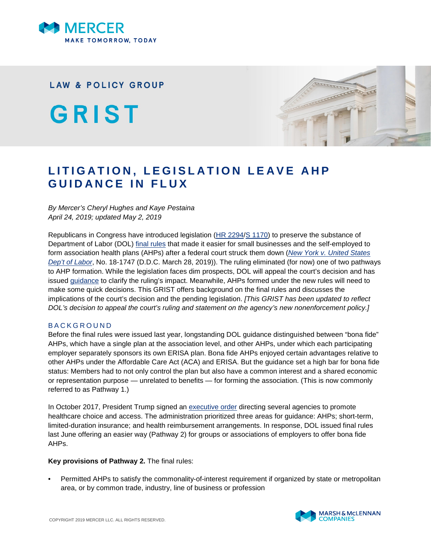

# **LAW & POLICY GROUP**

GRIST



# **LITIGATION, LEGISLATION LEAVE AHP GUIDANCE IN FLUX**

*By Mercer's Cheryl Hughes and Kaye Pestaina April 24, 2019; updated May 2, 2019*

Republicans in Congress have introduced legislation ([HR 2294](https://www.congress.gov/bill/116th-congress/house-bill/2294?q=%7B%22search%22%3A%5B%22association+health+plans+act%22%5D%7D&s=1&r=1)/[S 1170\)](https://www.congress.gov/bill/116th-congress/senate-bill/1170?q=%7B%22search%22%3A%5B%22association+health+plans+act%22%5D%7D&s=1&r=2) to preserve the substance of Department of Labor (DOL) [final rules](https://www.federalregister.gov/documents/2018/06/21/2018-12992/definition-of-employer-under-section-35-of-erisa-association-health-plans) that made it easier for small businesses and the self-employed to form association health plans (AHPs) after a federal court struck them down (*[New York v. United States](https://ecf.dcd.uscourts.gov/cgi-bin/show_public_doc?2018cv1747-79) [Dep't of Labor](https://ecf.dcd.uscourts.gov/cgi-bin/show_public_doc?2018cv1747-79)*, No. 18-1747 (D.D.C. March 28, 2019)). The ruling eliminated (for now) one of two pathways to AHP formation. While the legislation faces dim prospects, DOL will appeal the court's decision and has issued [guidance](https://www.dol.gov/agencies/ebsa/laws-and-regulations/rules-and-regulations/completed-rulemaking/1210-AB85/ahp-statement-court-ruling) to clarify the ruling's impact. Meanwhile, AHPs formed under the new rules will need to make some quick decisions. This GRIST offers background on the final rules and discusses the implications of the court's decision and the pending legislation. *[This GRIST has been updated to reflect DOL's decision to appeal the court's ruling and statement on the agency's new nonenforcement policy.]*

#### **BACKGROUND**

Before the final rules were issued last year, longstanding DOL guidance distinguished between "bona fide" AHPs, which have a single plan at the association level, and other AHPs, under which each participating employer separately sponsors its own ERISA plan. Bona fide AHPs enjoyed certain advantages relative to other AHPs under the Affordable Care Act (ACA) and ERISA. But the guidance set a high bar for bona fide status: Members had to not only control the plan but also have a common interest and a shared economic or representation purpose — unrelated to benefits — for forming the association. (This is now commonly referred to as Pathway 1.)

In October 2017, President Trump signed an [executive order](https://www.whitehouse.gov/the-press-office/2017/10/12/presidential-executive-order-promoting-healthcare-choice-and-competition) directing several agencies to promote healthcare choice and access. The administration prioritized three areas for guidance: AHPs; short-term, limited-duration insurance; and health reimbursement arrangements. In response, DOL issued final rules last June offering an easier way (Pathway 2) for groups or associations of employers to offer bona fide AHPs.

**Key provisions of Pathway 2.** The final rules:

• Permitted AHPs to satisfy the commonality-of-interest requirement if organized by state or metropolitan area, or by common trade, industry, line of business or profession

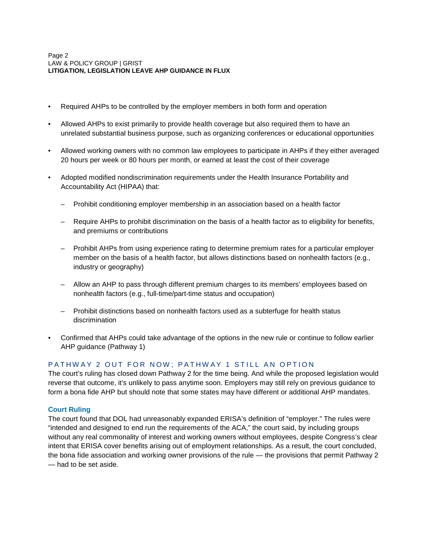- Required AHPs to be controlled by the employer members in both form and operation
- Allowed AHPs to exist primarily to provide health coverage but also required them to have an unrelated substantial business purpose, such as organizing conferences or educational opportunities
- Allowed working owners with no common law employees to participate in AHPs if they either averaged 20 hours per week or 80 hours per month, or earned at least the cost of their coverage
- Adopted modified nondiscrimination requirements under the Health Insurance Portability and Accountability Act (HIPAA) that:
	- Prohibit conditioning employer membership in an association based on a health factor
	- Require AHPs to prohibit discrimination on the basis of a health factor as to eligibility for benefits, and premiums or contributions
	- Prohibit AHPs from using experience rating to determine premium rates for a particular employer member on the basis of a health factor, but allows distinctions based on nonhealth factors (e.g., industry or geography)
	- Allow an AHP to pass through different premium charges to its members' employees based on nonhealth factors (e.g., full-time/part-time status and occupation)
	- Prohibit distinctions based on nonhealth factors used as a subterfuge for health status discrimination
- Confirmed that AHPs could take advantage of the options in the new rule or continue to follow earlier AHP guidance (Pathway 1)

# PATHWAY 2 OUT FOR NOW; PATHWAY 1 STILL AN OPTION

The court's ruling has closed down Pathway 2 for the time being. And while the proposed legislation would reverse that outcome, it's unlikely to pass anytime soon. Employers may still rely on previous guidance to form a bona fide AHP but should note that some states may have different or additional AHP mandates.

# **Court Ruling**

The court found that DOL had unreasonably expanded ERISA's definition of "employer." The rules were "intended and designed to end run the requirements of the ACA," the court said, by including groups without any real commonality of interest and working owners without employees, despite Congress's clear intent that ERISA cover benefits arising out of employment relationships. As a result, the court concluded, the bona fide association and working owner provisions of the rule — the provisions that permit Pathway 2 — had to be set aside.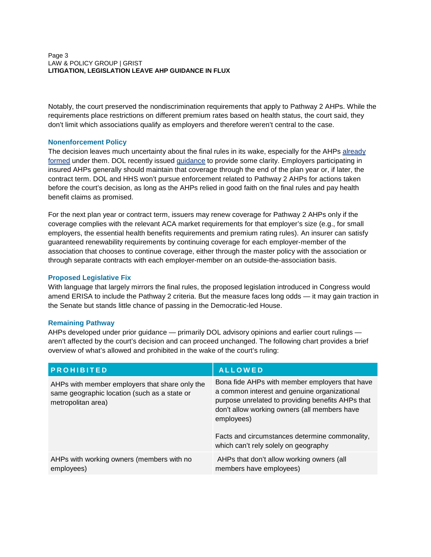#### Page 3 LAW & POLICY GROUP | GRIST **LITIGATION, LEGISLATION LEAVE AHP GUIDANCE IN FLUX**

Notably, the court preserved the nondiscrimination requirements that apply to Pathway 2 AHPs. While the requirements place restrictions on different premium rates based on health status, the court said, they don't limit which associations qualify as employers and therefore weren't central to the case.

#### **Nonenforcement Policy**

The decision leaves much uncertainty about the final rules in its wake, especially for the AHPs [already](https://www.associationhealthplans.com/reports/chamber-of-commerce-ahp/) [formed](https://www.associationhealthplans.com/reports/chamber-of-commerce-ahp/) under them. DOL recently issued [guidance](https://www.dol.gov/agencies/ebsa/laws-and-regulations/rules-and-regulations/completed-rulemaking/1210-AB85/ahp-statement-court-ruling) to provide some clarity. Employers participating in insured AHPs generally should maintain that coverage through the end of the plan year or, if later, the contract term. DOL and HHS won't pursue enforcement related to Pathway 2 AHPs for actions taken before the court's decision, as long as the AHPs relied in good faith on the final rules and pay health benefit claims as promised.

For the next plan year or contract term, issuers may renew coverage for Pathway 2 AHPs only if the coverage complies with the relevant ACA market requirements for that employer's size (e.g., for small employers, the essential health benefits requirements and premium rating rules). An insurer can satisfy guaranteed renewability requirements by continuing coverage for each employer-member of the association that chooses to continue coverage, either through the master policy with the association or through separate contracts with each employer-member on an outside-the-association basis.

#### **Proposed Legislative Fix**

With language that largely mirrors the final rules, the proposed legislation introduced in Congress would amend ERISA to include the Pathway 2 criteria. But the measure faces long odds — it may gain traction in the Senate but stands little chance of passing in the Democratic-led House.

#### **Remaining Pathway**

AHPs developed under prior guidance — primarily DOL advisory opinions and earlier court rulings aren't affected by the court's decision and can proceed unchanged. The following chart provides a brief overview of what's allowed and prohibited in the wake of the court's ruling:

| <b>PROHIBITED</b>                                                                                                    | <b>ALLOWED</b>                                                                                                                                                                                                                                                                                              |
|----------------------------------------------------------------------------------------------------------------------|-------------------------------------------------------------------------------------------------------------------------------------------------------------------------------------------------------------------------------------------------------------------------------------------------------------|
| AHPs with member employers that share only the<br>same geographic location (such as a state or<br>metropolitan area) | Bona fide AHPs with member employers that have<br>a common interest and genuine organizational<br>purpose unrelated to providing benefits AHPs that<br>don't allow working owners (all members have<br>employees)<br>Facts and circumstances determine commonality,<br>which can't rely solely on geography |
| AHPs with working owners (members with no<br>employees)                                                              | AHPs that don't allow working owners (all<br>members have employees)                                                                                                                                                                                                                                        |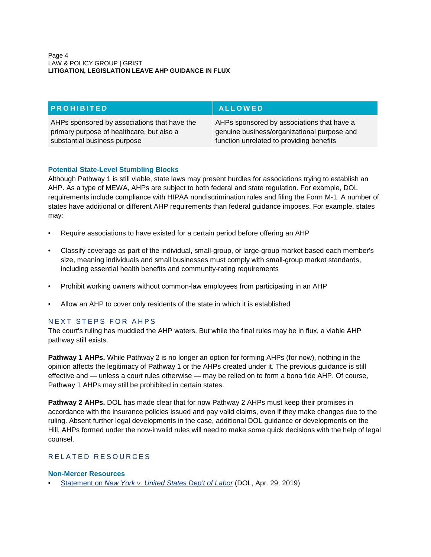| <b>PROHIBITED</b>                            | <b>ALLOWED</b>                              |
|----------------------------------------------|---------------------------------------------|
| AHPs sponsored by associations that have the | AHPs sponsored by associations that have a  |
| primary purpose of healthcare, but also a    | genuine business/organizational purpose and |
| substantial business purpose                 | function unrelated to providing benefits    |

# **Potential State-Level Stumbling Blocks**

Although Pathway 1 is still viable, state laws may present hurdles for associations trying to establish an AHP. As a type of MEWA, AHPs are subject to both federal and state regulation. For example, DOL requirements include compliance with HIPAA nondiscrimination rules and filing the Form M-1. A number of states have additional or different AHP requirements than federal guidance imposes. For example, states may:

- Require associations to have existed for a certain period before offering an AHP
- Classify coverage as part of the individual, small-group, or large-group market based each member's size, meaning individuals and small businesses must comply with small-group market standards, including essential health benefits and community-rating requirements
- Prohibit working owners without common-law employees from participating in an AHP
- Allow an AHP to cover only residents of the state in which it is established

# NEXT STEPS FOR AHPS

The court's ruling has muddied the AHP waters. But while the final rules may be in flux, a viable AHP pathway still exists.

**Pathway 1 AHPs.** While Pathway 2 is no longer an option for forming AHPs (for now), nothing in the opinion affects the legitimacy of Pathway 1 or the AHPs created under it. The previous guidance is still effective and — unless a court rules otherwise — may be relied on to form a bona fide AHP. Of course, Pathway 1 AHPs may still be prohibited in certain states.

**Pathway 2 AHPs.** DOL has made clear that for now Pathway 2 AHPs must keep their promises in accordance with the insurance policies issued and pay valid claims, even if they make changes due to the ruling. Absent further legal developments in the case, additional DOL guidance or developments on the Hill, AHPs formed under the now-invalid rules will need to make some quick decisions with the help of legal counsel.

# R E LATED RESOURCES

# **Non-Mercer Resources**

• Statement on *[New York v. United States Dep't of Labor](https://www.dol.gov/agencies/ebsa/laws-and-regulations/rules-and-regulations/completed-rulemaking/1210-AB85/ahp-statement-court-ruling)* (DOL, Apr. 29, 2019)